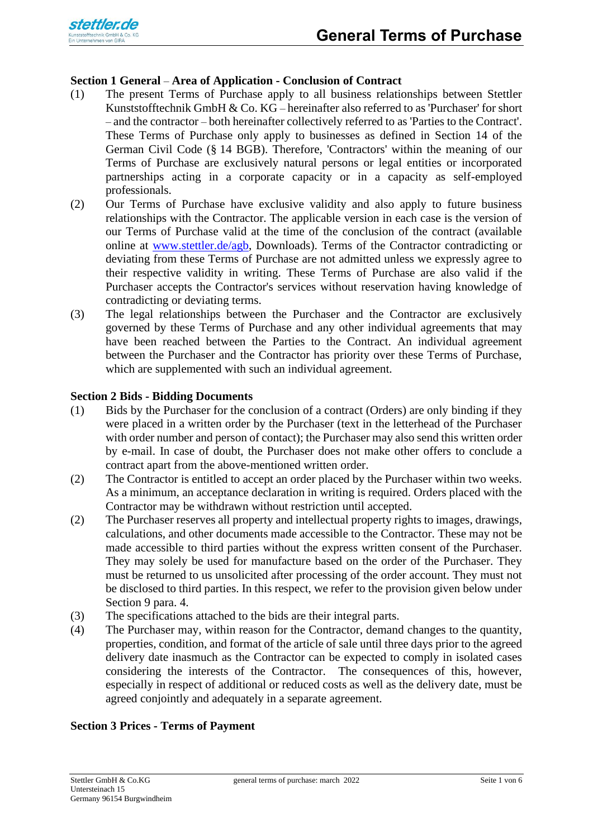

#### **Section 1 General** – **Area of Application - Conclusion of Contract**

- (1) The present Terms of Purchase apply to all business relationships between Stettler Kunststofftechnik GmbH & Co. KG – hereinafter also referred to as 'Purchaser' for short – and the contractor – both hereinafter collectively referred to as 'Parties to the Contract'. These Terms of Purchase only apply to businesses as defined in Section 14 of the German Civil Code (§ 14 BGB). Therefore, 'Contractors' within the meaning of our Terms of Purchase are exclusively natural persons or legal entities or incorporated partnerships acting in a corporate capacity or in a capacity as self-employed professionals.
- (2) Our Terms of Purchase have exclusive validity and also apply to future business relationships with the Contractor. The applicable version in each case is the version of our Terms of Purchase valid at the time of the conclusion of the contract (available online at [www.stettler.de/agb,](http://www.stettler.de/agb) Downloads). Terms of the Contractor contradicting or deviating from these Terms of Purchase are not admitted unless we expressly agree to their respective validity in writing. These Terms of Purchase are also valid if the Purchaser accepts the Contractor's services without reservation having knowledge of contradicting or deviating terms.
- (3) The legal relationships between the Purchaser and the Contractor are exclusively governed by these Terms of Purchase and any other individual agreements that may have been reached between the Parties to the Contract. An individual agreement between the Purchaser and the Contractor has priority over these Terms of Purchase, which are supplemented with such an individual agreement.

#### **Section 2 Bids - Bidding Documents**

- (1) Bids by the Purchaser for the conclusion of a contract (Orders) are only binding if they were placed in a written order by the Purchaser (text in the letterhead of the Purchaser with order number and person of contact); the Purchaser may also send this written order by e-mail. In case of doubt, the Purchaser does not make other offers to conclude a contract apart from the above-mentioned written order.
- (2) The Contractor is entitled to accept an order placed by the Purchaser within two weeks. As a minimum, an acceptance declaration in writing is required. Orders placed with the Contractor may be withdrawn without restriction until accepted.
- (2) The Purchaser reserves all property and intellectual property rights to images, drawings, calculations, and other documents made accessible to the Contractor. These may not be made accessible to third parties without the express written consent of the Purchaser. They may solely be used for manufacture based on the order of the Purchaser. They must be returned to us unsolicited after processing of the order account. They must not be disclosed to third parties. In this respect, we refer to the provision given below under Section 9 para. 4.
- (3) The specifications attached to the bids are their integral parts.
- (4) The Purchaser may, within reason for the Contractor, demand changes to the quantity, properties, condition, and format of the article of sale until three days prior to the agreed delivery date inasmuch as the Contractor can be expected to comply in isolated cases considering the interests of the Contractor. The consequences of this, however, especially in respect of additional or reduced costs as well as the delivery date, must be agreed conjointly and adequately in a separate agreement.

# **Section 3 Prices - Terms of Payment**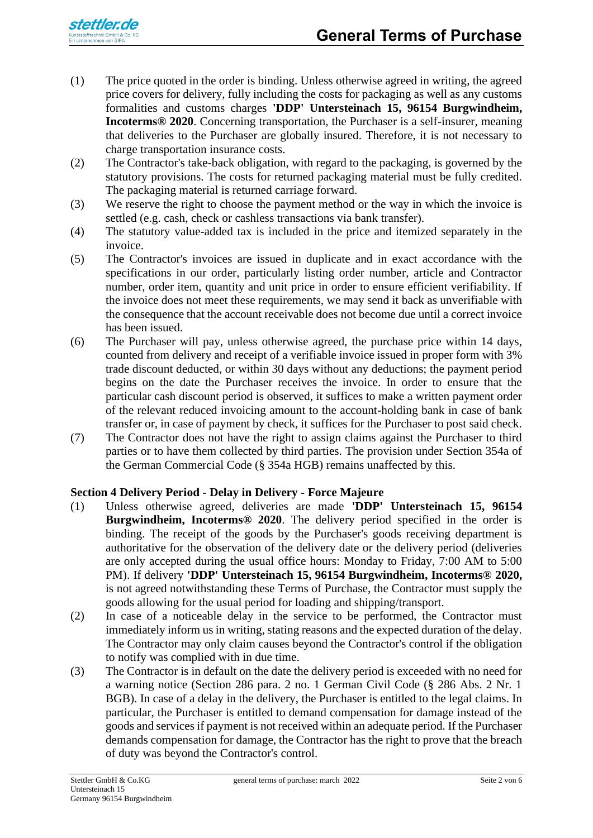

- (1) The price quoted in the order is binding. Unless otherwise agreed in writing, the agreed price covers for delivery, fully including the costs for packaging as well as any customs formalities and customs charges **'DDP' Untersteinach 15, 96154 Burgwindheim, Incoterms® 2020**. Concerning transportation, the Purchaser is a self-insurer, meaning that deliveries to the Purchaser are globally insured. Therefore, it is not necessary to charge transportation insurance costs.
- (2) The Contractor's take-back obligation, with regard to the packaging, is governed by the statutory provisions. The costs for returned packaging material must be fully credited. The packaging material is returned carriage forward.
- (3) We reserve the right to choose the payment method or the way in which the invoice is settled (e.g. cash, check or cashless transactions via bank transfer).
- (4) The statutory value-added tax is included in the price and itemized separately in the invoice.
- (5) The Contractor's invoices are issued in duplicate and in exact accordance with the specifications in our order, particularly listing order number, article and Contractor number, order item, quantity and unit price in order to ensure efficient verifiability. If the invoice does not meet these requirements, we may send it back as unverifiable with the consequence that the account receivable does not become due until a correct invoice has been issued.
- (6) The Purchaser will pay, unless otherwise agreed, the purchase price within 14 days, counted from delivery and receipt of a verifiable invoice issued in proper form with 3% trade discount deducted, or within 30 days without any deductions; the payment period begins on the date the Purchaser receives the invoice. In order to ensure that the particular cash discount period is observed, it suffices to make a written payment order of the relevant reduced invoicing amount to the account-holding bank in case of bank transfer or, in case of payment by check, it suffices for the Purchaser to post said check.
- (7) The Contractor does not have the right to assign claims against the Purchaser to third parties or to have them collected by third parties. The provision under Section 354a of the German Commercial Code (§ 354a HGB) remains unaffected by this.

# **Section 4 Delivery Period - Delay in Delivery - Force Majeure**

- (1) Unless otherwise agreed, deliveries are made **'DDP' Untersteinach 15, 96154 Burgwindheim, Incoterms® 2020**. The delivery period specified in the order is binding. The receipt of the goods by the Purchaser's goods receiving department is authoritative for the observation of the delivery date or the delivery period (deliveries are only accepted during the usual office hours: Monday to Friday, 7:00 AM to 5:00 PM). If delivery **'DDP' Untersteinach 15, 96154 Burgwindheim, Incoterms® 2020,** is not agreed notwithstanding these Terms of Purchase, the Contractor must supply the goods allowing for the usual period for loading and shipping/transport.
- (2) In case of a noticeable delay in the service to be performed, the Contractor must immediately inform us in writing, stating reasons and the expected duration of the delay. The Contractor may only claim causes beyond the Contractor's control if the obligation to notify was complied with in due time.
- (3) The Contractor is in default on the date the delivery period is exceeded with no need for a warning notice (Section 286 para. 2 no. 1 German Civil Code (§ 286 Abs. 2 Nr. 1 BGB). In case of a delay in the delivery, the Purchaser is entitled to the legal claims. In particular, the Purchaser is entitled to demand compensation for damage instead of the goods and services if payment is not received within an adequate period. If the Purchaser demands compensation for damage, the Contractor has the right to prove that the breach of duty was beyond the Contractor's control.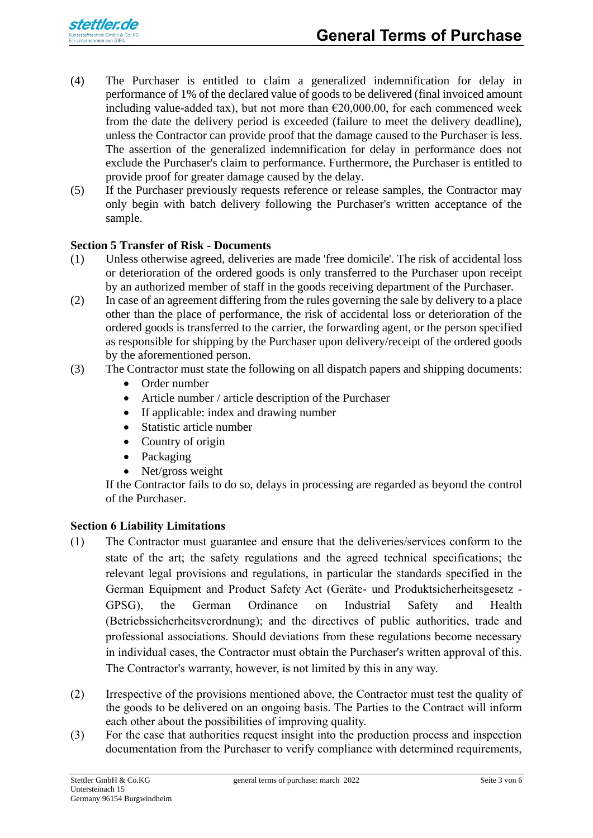

- (4) The Purchaser is entitled to claim a generalized indemnification for delay in performance of 1% of the declared value of goods to be delivered (final invoiced amount including value-added tax), but not more than  $\epsilon$ 20,000.00, for each commenced week from the date the delivery period is exceeded (failure to meet the delivery deadline), unless the Contractor can provide proof that the damage caused to the Purchaser is less. The assertion of the generalized indemnification for delay in performance does not exclude the Purchaser's claim to performance. Furthermore, the Purchaser is entitled to provide proof for greater damage caused by the delay.
- (5) If the Purchaser previously requests reference or release samples, the Contractor may only begin with batch delivery following the Purchaser's written acceptance of the sample.

### **Section 5 Transfer of Risk - Documents**

- (1) Unless otherwise agreed, deliveries are made 'free domicile'. The risk of accidental loss or deterioration of the ordered goods is only transferred to the Purchaser upon receipt by an authorized member of staff in the goods receiving department of the Purchaser.
- (2) In case of an agreement differing from the rules governing the sale by delivery to a place other than the place of performance, the risk of accidental loss or deterioration of the ordered goods is transferred to the carrier, the forwarding agent, or the person specified as responsible for shipping by the Purchaser upon delivery/receipt of the ordered goods by the aforementioned person.
- (3) The Contractor must state the following on all dispatch papers and shipping documents:
	- Order number
	- Article number / article description of the Purchaser
	- If applicable: index and drawing number
	- Statistic article number
	- Country of origin
	- Packaging
	- Net/gross weight

If the Contractor fails to do so, delays in processing are regarded as beyond the control of the Purchaser.

#### **Section 6 Liability Limitations**

- (1) The Contractor must guarantee and ensure that the deliveries/services conform to the state of the art; the safety regulations and the agreed technical specifications; the relevant legal provisions and regulations, in particular the standards specified in the German Equipment and Product Safety Act (Geräte- und Produktsicherheitsgesetz - GPSG), the German Ordinance on Industrial Safety and Health (Betriebssicherheitsverordnung); and the directives of public authorities, trade and professional associations. Should deviations from these regulations become necessary in individual cases, the Contractor must obtain the Purchaser's written approval of this. The Contractor's warranty, however, is not limited by this in any way.
- (2) Irrespective of the provisions mentioned above, the Contractor must test the quality of the goods to be delivered on an ongoing basis. The Parties to the Contract will inform each other about the possibilities of improving quality.
- (3) For the case that authorities request insight into the production process and inspection documentation from the Purchaser to verify compliance with determined requirements,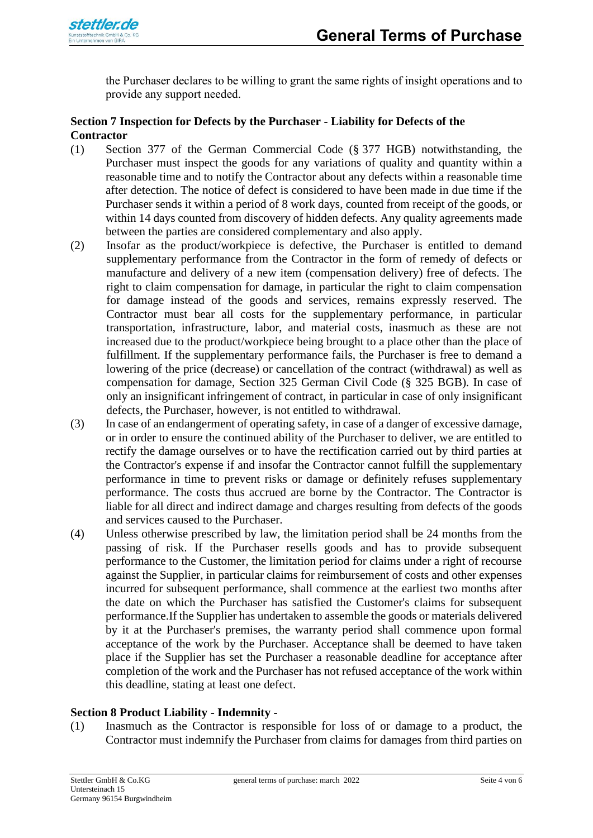the Purchaser declares to be willing to grant the same rights of insight operations and to provide any support needed.

### **Section 7 Inspection for Defects by the Purchaser - Liability for Defects of the Contractor**

- (1) Section 377 of the German Commercial Code (§ 377 HGB) notwithstanding, the Purchaser must inspect the goods for any variations of quality and quantity within a reasonable time and to notify the Contractor about any defects within a reasonable time after detection. The notice of defect is considered to have been made in due time if the Purchaser sends it within a period of 8 work days, counted from receipt of the goods, or within 14 days counted from discovery of hidden defects. Any quality agreements made between the parties are considered complementary and also apply.
- (2) Insofar as the product/workpiece is defective, the Purchaser is entitled to demand supplementary performance from the Contractor in the form of remedy of defects or manufacture and delivery of a new item (compensation delivery) free of defects. The right to claim compensation for damage, in particular the right to claim compensation for damage instead of the goods and services, remains expressly reserved. The Contractor must bear all costs for the supplementary performance, in particular transportation, infrastructure, labor, and material costs, inasmuch as these are not increased due to the product/workpiece being brought to a place other than the place of fulfillment. If the supplementary performance fails, the Purchaser is free to demand a lowering of the price (decrease) or cancellation of the contract (withdrawal) as well as compensation for damage, Section 325 German Civil Code (§ 325 BGB). In case of only an insignificant infringement of contract, in particular in case of only insignificant defects, the Purchaser, however, is not entitled to withdrawal.
- (3) In case of an endangerment of operating safety, in case of a danger of excessive damage, or in order to ensure the continued ability of the Purchaser to deliver, we are entitled to rectify the damage ourselves or to have the rectification carried out by third parties at the Contractor's expense if and insofar the Contractor cannot fulfill the supplementary performance in time to prevent risks or damage or definitely refuses supplementary performance. The costs thus accrued are borne by the Contractor. The Contractor is liable for all direct and indirect damage and charges resulting from defects of the goods and services caused to the Purchaser.
- (4) Unless otherwise prescribed by law, the limitation period shall be 24 months from the passing of risk. If the Purchaser resells goods and has to provide subsequent performance to the Customer, the limitation period for claims under a right of recourse against the Supplier, in particular claims for reimbursement of costs and other expenses incurred for subsequent performance, shall commence at the earliest two months after the date on which the Purchaser has satisfied the Customer's claims for subsequent performance.If the Supplier has undertaken to assemble the goods or materials delivered by it at the Purchaser's premises, the warranty period shall commence upon formal acceptance of the work by the Purchaser. Acceptance shall be deemed to have taken place if the Supplier has set the Purchaser a reasonable deadline for acceptance after completion of the work and the Purchaser has not refused acceptance of the work within this deadline, stating at least one defect.

# **Section 8 Product Liability - Indemnity -**

(1) Inasmuch as the Contractor is responsible for loss of or damage to a product, the Contractor must indemnify the Purchaser from claims for damages from third parties on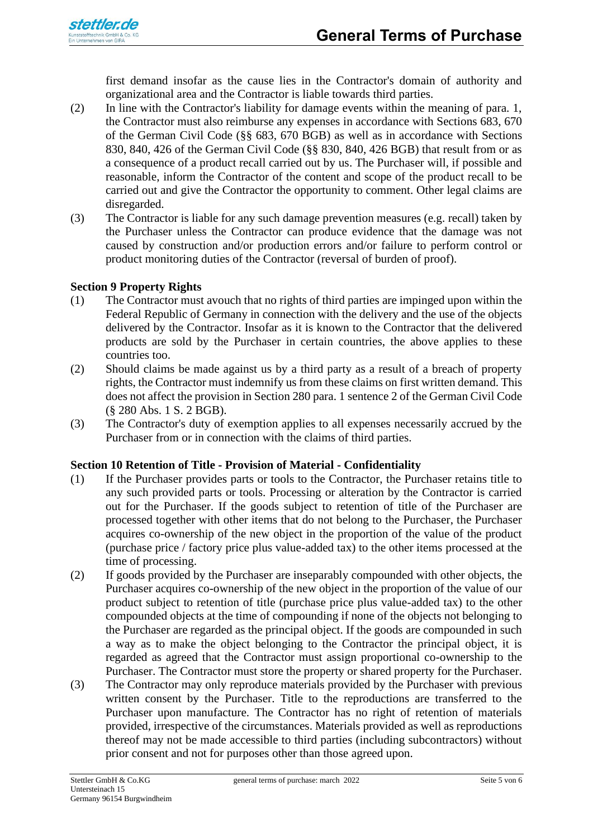first demand insofar as the cause lies in the Contractor's domain of authority and organizational area and the Contractor is liable towards third parties.

- (2) In line with the Contractor's liability for damage events within the meaning of para. 1, the Contractor must also reimburse any expenses in accordance with Sections 683, 670 of the German Civil Code (§§ 683, 670 BGB) as well as in accordance with Sections 830, 840, 426 of the German Civil Code (§§ 830, 840, 426 BGB) that result from or as a consequence of a product recall carried out by us. The Purchaser will, if possible and reasonable, inform the Contractor of the content and scope of the product recall to be carried out and give the Contractor the opportunity to comment. Other legal claims are disregarded.
- (3) The Contractor is liable for any such damage prevention measures (e.g. recall) taken by the Purchaser unless the Contractor can produce evidence that the damage was not caused by construction and/or production errors and/or failure to perform control or product monitoring duties of the Contractor (reversal of burden of proof).

# **Section 9 Property Rights**

- (1) The Contractor must avouch that no rights of third parties are impinged upon within the Federal Republic of Germany in connection with the delivery and the use of the objects delivered by the Contractor. Insofar as it is known to the Contractor that the delivered products are sold by the Purchaser in certain countries, the above applies to these countries too.
- (2) Should claims be made against us by a third party as a result of a breach of property rights, the Contractor must indemnify us from these claims on first written demand. This does not affect the provision in Section 280 para. 1 sentence 2 of the German Civil Code (§ 280 Abs. 1 S. 2 BGB).
- (3) The Contractor's duty of exemption applies to all expenses necessarily accrued by the Purchaser from or in connection with the claims of third parties.

# **Section 10 Retention of Title - Provision of Material - Confidentiality**

- (1) If the Purchaser provides parts or tools to the Contractor, the Purchaser retains title to any such provided parts or tools. Processing or alteration by the Contractor is carried out for the Purchaser. If the goods subject to retention of title of the Purchaser are processed together with other items that do not belong to the Purchaser, the Purchaser acquires co-ownership of the new object in the proportion of the value of the product (purchase price / factory price plus value-added tax) to the other items processed at the time of processing.
- (2) If goods provided by the Purchaser are inseparably compounded with other objects, the Purchaser acquires co-ownership of the new object in the proportion of the value of our product subject to retention of title (purchase price plus value-added tax) to the other compounded objects at the time of compounding if none of the objects not belonging to the Purchaser are regarded as the principal object. If the goods are compounded in such a way as to make the object belonging to the Contractor the principal object, it is regarded as agreed that the Contractor must assign proportional co-ownership to the Purchaser. The Contractor must store the property or shared property for the Purchaser.
- (3) The Contractor may only reproduce materials provided by the Purchaser with previous written consent by the Purchaser. Title to the reproductions are transferred to the Purchaser upon manufacture. The Contractor has no right of retention of materials provided, irrespective of the circumstances. Materials provided as well as reproductions thereof may not be made accessible to third parties (including subcontractors) without prior consent and not for purposes other than those agreed upon.